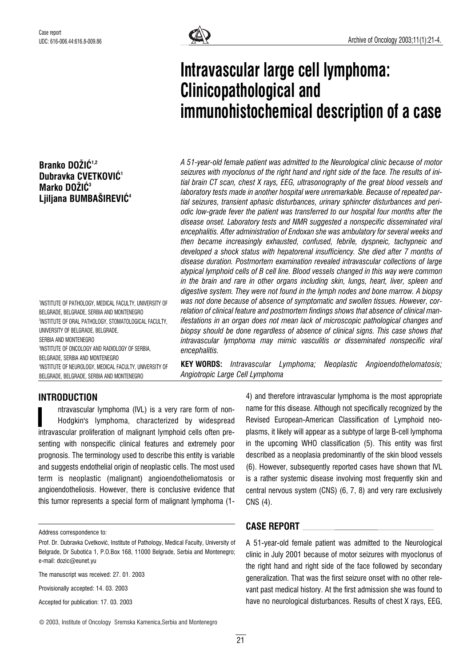# Branko DOŽIĆ<sup>1,2</sup> Dubravka CVETKOVIĆ<sup>1</sup> Marko DOŽIĆ<sup>3</sup> Liiliana BUMBAŠIREVIĆ<sup>4</sup>

1 INSTITUTE OF PATHOLOGY, MEDICAL FACULTY, UNIVERSITY OF BELGRADE, BELGRADE, SERBIA AND MONTENEGRO 2 INSTITUTE OF ORAL PATHOLOGY, STOMATOLOGICAL FACULTY, UNIVERSITY OF BELGRADE, BELGRADE, SERBIA AND MONTENEGRO 3 INSTITUTE OF ONCOLOGY AND RADIOLOGY OF SERBIA, BELGRADE, SERBIA AND MONTENEGRO 4 INSTITUTE OF NEUROLOGY, MEDICAL FACULTY, UNIVERSITY OF BELGRADE, BELGRADE, SERBIA AND MONTENEGRO



# Intravascular large cell lymphoma: Clinicopathological and immunohistochemical description of a case

A 51-year-old female patient was admitted to the Neurological clinic because of motor seizures with myoclonus of the right hand and right side of the face. The results of initial brain CT scan, chest X rays, EEG, ultrasonography of the great blood vessels and laboratory tests made in another hospital were unremarkable. Because of repeated partial seizures, transient aphasic disturbances, urinary sphincter disturbances and periodic low-grade fever the patient was transferred to our hospital four months after the disease onset. Laboratory tests and NMR suggested a nonspecific disseminated viral encephalitis. After administration of Endoxan she was ambulatory for several weeks and then became increasingly exhausted, confused, febrile, dyspneic, tachypneic and developed a shock status with hepatorenal insufficiency. She died after 7 months of disease duration. Postmortem examination revealed intravascular collections of large atypical lymphoid cells of B cell line. Blood vessels changed in this way were common in the brain and rare in other organs including skin, lungs, heart, liver, spleen and digestive system. They were not found in the lymph nodes and bone marrow. A biopsy was not done because of absence of symptomatic and swollen tissues. However, correlation of clinical feature and postmortem findings shows that absence of clinical manifestations in an organ does not mean lack of microscopic pathological changes and biopsy should be done regardless of absence of clinical signs. This case shows that intravascular lymphoma may mimic vasculitis or disseminated nonspecific viral encephalitis.

KEY WORDS: Intravascular Lymphoma; Neoplastic Angioendothelomatosis; Angiotropic Large Cell Lymphoma

# INTRODUCTION

ntravascular lymphoma (IVL) is a very rare form of non-Hodgkin's lymphoma, characterized by widespread ntravascular lymphoma (IVL) is a very rare form of non-<br>Hodgkin's lymphoma, characterized by widespread<br>intravascular proliferation of malignant lymphoid cells often presenting with nonspecific clinical features and extremely poor prognosis. The terminology used to describe this entity is variable and suggests endothelial origin of neoplastic cells. The most used term is neoplastic (malignant) angioendotheliomatosis or angioendotheliosis. However, there is conclusive evidence that this tumor represents a special form of malignant lymphoma (1-

Address correspondence to:

Provisionally accepted: 14. 03. 2003

Accepted for publication: 17. 03. 2003

4) and therefore intravascular lymphoma is the most appropriate name for this disease. Although not specifically recognized by the Revised European-American Classification of Lymphoid neoplasms, it likely will appear as a subtype of large B-cell lymphoma in the upcoming WHO classification (5). This entity was first described as a neoplasia predominantly of the skin blood vessels (6). However, subsequently reported cases have shown that IVL is a rather systemic disease involving most frequently skin and central nervous system (CNS) (6, 7, 8) and very rare exclusively CNS (4).

## CASE REPORT

A 51-year-old female patient was admitted to the Neurological clinic in July 2001 because of motor seizures with myoclonus of the right hand and right side of the face followed by secondary generalization. That was the first seizure onset with no other relevant past medical history. At the first admission she was found to have no neurological disturbances. Results of chest X rays, EEG,

Prof. Dr. Dubravka Cvetković, Institute of Pathology, Medical Faculty, University of Belgrade, Dr Subotića 1, P.O.Box 168, 11000 Belgrade, Serbia and Montenegro; e-mail: dozic@eunet.yu

The manuscript was received: 27. 01. 2003

<sup>©</sup> 2003, Institute of Oncology Sremska Kamenica,Serbia and Montenegro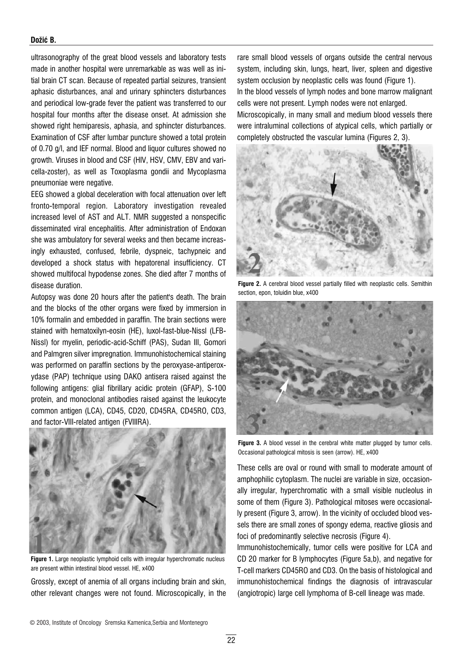#### Dožić B.

ultrasonography of the great blood vessels and laboratory tests made in another hospital were unremarkable as was well as initial brain CT scan. Because of repeated partial seizures, transient aphasic disturbances, anal and urinary sphincters disturbances and periodical low-grade fever the patient was transferred to our hospital four months after the disease onset. At admission she showed right hemiparesis, aphasia, and sphincter disturbances. Examination of CSF after lumbar puncture showed a total protein of 0.70 g/l, and IEF normal. Blood and liquor cultures showed no growth. Viruses in blood and CSF (HIV, HSV, CMV, EBV and varicella-zoster), as well as Toxoplasma gondii and Mycoplasma pneumoniae were negative.

EEG showed a global deceleration with focal attenuation over left fronto-temporal region. Laboratory investigation revealed increased level of AST and ALT. NMR suggested a nonspecific disseminated viral encephalitis. After administration of Endoxan she was ambulatory for several weeks and then became increasingly exhausted, confused, febrile, dyspneic, tachypneic and developed a shock status with hepatorenal insufficiency. CT showed multifocal hypodense zones. She died after 7 months of disease duration.

Autopsy was done 20 hours after the patient's death. The brain and the blocks of the other organs were fixed by immersion in 10% formalin and embedded in paraffin. The brain sections were stained with hematoxilyn-eosin (HE), luxol-fast-blue-Nissl (LFB-Nissl) for myelin, periodic-acid-Schiff (PAS), Sudan III, Gomori and Palmgren silver impregnation. Immunohistochemical staining was performed on paraffin sections by the peroxyase-antiperoxydase (PAP) technique using DAKO antisera raised against the following antigens: glial fibrillary acidic protein (GFAP), S-100 protein, and monoclonal antibodies raised against the leukocyte common antigen (LCA), CD45, CD20, CD45RA, CD45RO, CD3, and factor-VIII-related antigen (FVIIIRA).



Figure 1. Large neoplastic lymphoid cells with irregular hyperchromatic nucleus are present within intestinal blood vessel. HE, x400

Grossly, except of anemia of all organs including brain and skin, other relevant changes were not found. Microscopically, in the rare small blood vessels of organs outside the central nervous system, including skin, lungs, heart, liver, spleen and digestive system occlusion by neoplastic cells was found (Figure 1). In the blood vessels of lymph nodes and bone marrow malignant cells were not present. Lymph nodes were not enlarged. Microscopically, in many small and medium blood vessels there were intraluminal collections of atypical cells, which partially or completely obstructed the vascular lumina (Figures 2, 3).



Figure 2. A cerebral blood vessel partially filled with neoplastic cells. Semithin section, epon, toluidin blue, x400



Figure 3. A blood vessel in the cerebral white matter plugged by tumor cells. Occasional pathological mitosis is seen (arrow). HE, x400

These cells are oval or round with small to moderate amount of amphophilic cytoplasm. The nuclei are variable in size, occasionally irregular, hyperchromatic with a small visible nucleolus in some of them (Figure 3). Pathological mitoses were occasionally present (Figure 3, arrow). In the vicinity of occluded blood vessels there are small zones of spongy edema, reactive gliosis and foci of predominantly selective necrosis (Figure 4).

Immunohistochemically, tumor cells were positive for LCA and CD 20 marker for B lymphocytes (Figure 5a,b), and negative for T-cell markers CD45RO and CD3. On the basis of histological and immunohistochemical findings the diagnosis of intravascular (angiotropic) large cell lymphoma of B-cell lineage was made.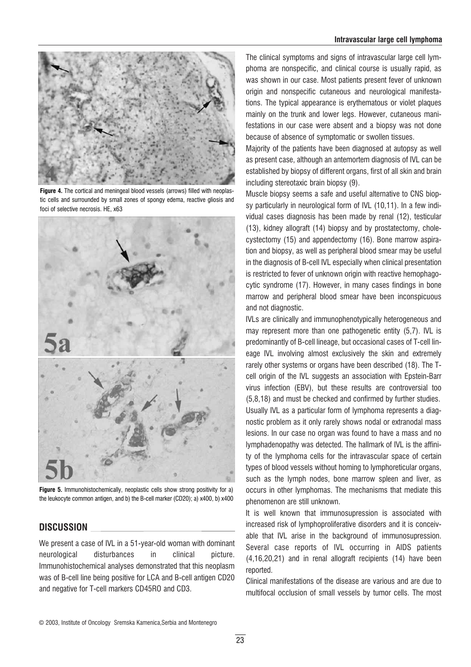#### Intravascular large cell lymphoma



Figure 4. The cortical and meningeal blood vessels (arrows) filled with neoplastic cells and surrounded by small zones of spongy edema, reactive gliosis and foci of selective necrosis. HE, x63



Figure 5. Immunohistochemically, neoplastic cells show strong positivity for a) the leukocyte common antigen, and b) the B-cell marker (CD20); a) x400, b) x400

### DISCUSSION

We present a case of IVL in a 51-year-old woman with dominant neurological disturbances in clinical picture. Immunohistochemical analyses demonstrated that this neoplasm was of B-cell line being positive for LCA and B-cell antigen CD20 and negative for T-cell markers CD45RO and CD3.

The clinical symptoms and signs of intravascular large cell lymphoma are nonspecific, and clinical course is usually rapid, as was shown in our case. Most patients present fever of unknown origin and nonspecific cutaneous and neurological manifestations. The typical appearance is erythematous or violet plaques mainly on the trunk and lower legs. However, cutaneous manifestations in our case were absent and a biopsy was not done because of absence of symptomatic or swollen tissues.

Majority of the patients have been diagnosed at autopsy as well as present case, although an antemortem diagnosis of IVL can be established by biopsy of different organs, first of all skin and brain including stereotaxic brain biopsy (9).

Muscle biopsy seems a safe and useful alternative to CNS biopsy particularly in neurological form of IVL (10,11). In a few individual cases diagnosis has been made by renal (12), testicular (13), kidney allograft (14) biopsy and by prostatectomy, cholecystectomy (15) and appendectomy (16). Bone marrow aspiration and biopsy, as well as peripheral blood smear may be useful in the diagnosis of B-cell IVL especially when clinical presentation is restricted to fever of unknown origin with reactive hemophagocytic syndrome (17). However, in many cases findings in bone marrow and peripheral blood smear have been inconspicuous and not diagnostic.

IVLs are clinically and immunophenotypically heterogeneous and may represent more than one pathogenetic entity (5,7). IVL is predominantly of B-cell lineage, but occasional cases of T-cell lineage IVL involving almost exclusively the skin and extremely rarely other systems or organs have been described (18). The Tcell origin of the IVL suggests an association with Epstein-Barr virus infection (EBV), but these results are controversial too (5,8,18) and must be checked and confirmed by further studies. Usually IVL as a particular form of lymphoma represents a diagnostic problem as it only rarely shows nodal or extranodal mass lesions. In our case no organ was found to have a mass and no lymphadenopathy was detected. The hallmark of IVL is the affinity of the lymphoma cells for the intravascular space of certain types of blood vessels without homing to lymphoreticular organs, such as the lymph nodes, bone marrow spleen and liver, as occurs in other lymphomas. The mechanisms that mediate this phenomenon are still unknown.

It is well known that immunosupression is associated with increased risk of lymphoproliferative disorders and it is conceivable that IVL arise in the background of immunosupression. Several case reports of IVL occurring in AIDS patients (4,16,20,21) and in renal allograft recipients (14) have been reported.

Clinical manifestations of the disease are various and are due to multifocal occlusion of small vessels by tumor cells. The most